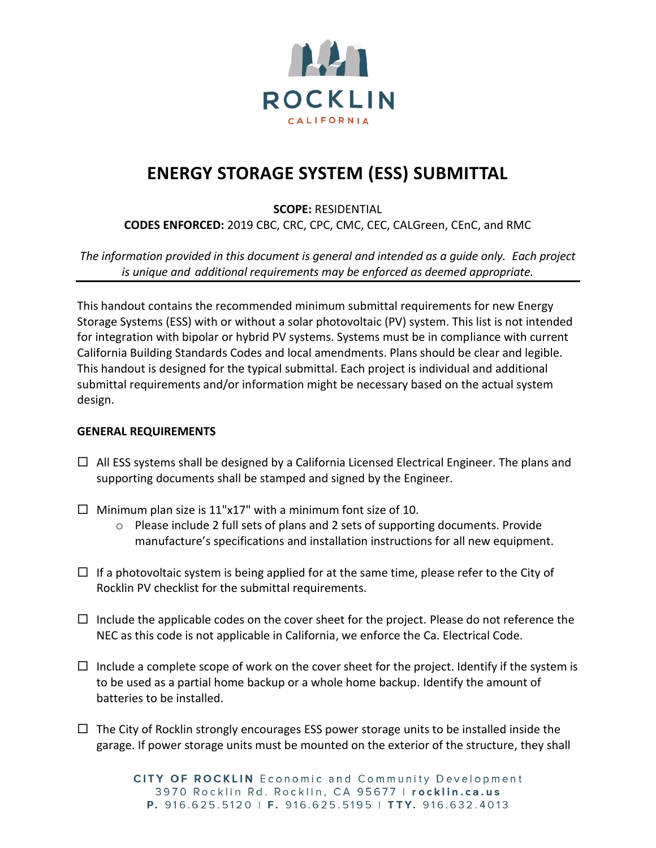

# **ENERGY STORAGE SYSTEM (ESS) SUBMITTAL**

**SCOPE:** RESIDENTIAL

**CODES ENFORCED:** 2019 CBC, CRC, CPC, CMC, CEC, CALGreen, CEnC, and RMC

*The information provided in this document is general and intended as a guide only. Each project is unique and additional requirements may be enforced as deemed appropriate.* 

This handout contains the recommended minimum submittal requirements for new Energy Storage Systems (ESS) with or without a solar photovoltaic (PV) system. This list is not intended for integration with bipolar or hybrid PV systems. Systems must be in compliance with current California Building Standards Codes and local amendments. Plans should be clear and legible. This handout is designed for the typical submittal. Each project is individual and additional submittal requirements and/or information might be necessary based on the actual system design.

## **GENERAL REQUIREMENTS**

- $\Box$  All ESS systems shall be designed by a California Licensed Electrical Engineer. The plans and supporting documents shall be stamped and signed by the Engineer.
- $\Box$  Minimum plan size is 11"x17" with a minimum font size of 10.
	- $\circ$  Please include 2 full sets of plans and 2 sets of supporting documents. Provide manufacture's specifications and installation instructions for all new equipment.
- $\Box$  If a photovoltaic system is being applied for at the same time, please refer to the City of Rocklin PV checklist for the submittal requirements.
- $\Box$  Include the applicable codes on the cover sheet for the project. Please do not reference the NEC as this code is not applicable in California, we enforce the Ca. Electrical Code.
- $\Box$  Include a complete scope of work on the cover sheet for the project. Identify if the system is to be used as a partial home backup or a whole home backup. Identify the amount of batteries to be installed.
- $\Box$  The City of Rocklin strongly encourages ESS power storage units to be installed inside the garage. If power storage units must be mounted on the exterior of the structure, they shall

CITY OF ROCKLIN Economic and Community Development 3970 Rocklin Rd. Rocklin, CA 95677 | rocklin.ca.us P. 916.625.5120 | F. 916.625.5195 | TTY. 916.632.4013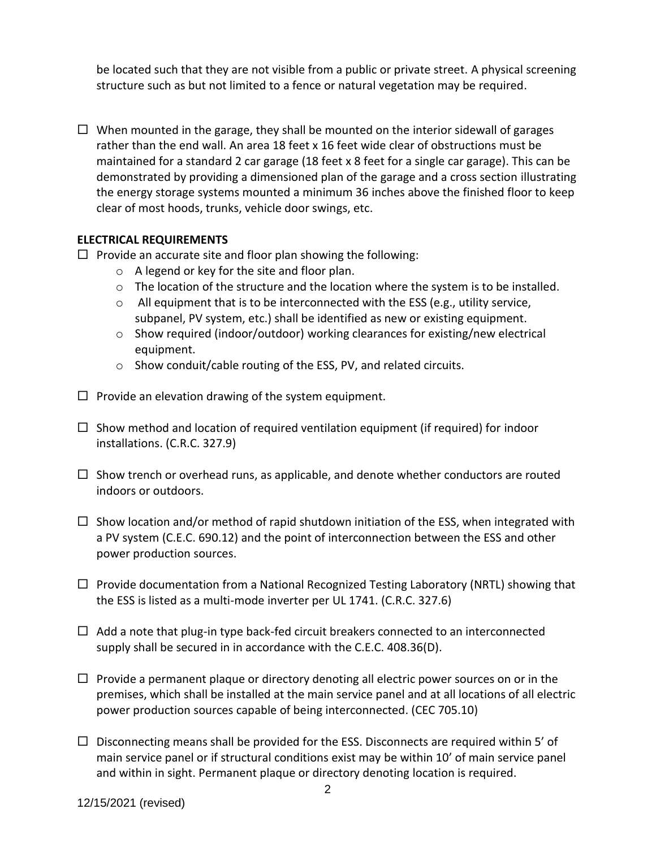be located such that they are not visible from a public or private street. A physical screening structure such as but not limited to a fence or natural vegetation may be required.

 $\Box$  When mounted in the garage, they shall be mounted on the interior sidewall of garages rather than the end wall. An area 18 feet x 16 feet wide clear of obstructions must be maintained for a standard 2 car garage (18 feet x 8 feet for a single car garage). This can be demonstrated by providing a dimensioned plan of the garage and a cross section illustrating the energy storage systems mounted a minimum 36 inches above the finished floor to keep clear of most hoods, trunks, vehicle door swings, etc.

# **ELECTRICAL REQUIREMENTS**

- $\Box$  Provide an accurate site and floor plan showing the following:
	- o A legend or key for the site and floor plan.
	- o The location of the structure and the location where the system is to be installed.
	- $\circ$  All equipment that is to be interconnected with the ESS (e.g., utility service, subpanel, PV system, etc.) shall be identified as new or existing equipment.
	- $\circ$  Show required (indoor/outdoor) working clearances for existing/new electrical equipment.
	- o Show conduit/cable routing of the ESS, PV, and related circuits.
- $\Box$  Provide an elevation drawing of the system equipment.
- $\Box$  Show method and location of required ventilation equipment (if required) for indoor installations. (C.R.C. 327.9)
- $\Box$  Show trench or overhead runs, as applicable, and denote whether conductors are routed indoors or outdoors.
- $\Box$  Show location and/or method of rapid shutdown initiation of the ESS, when integrated with a PV system (C.E.C. 690.12) and the point of interconnection between the ESS and other power production sources.
- $\Box$  Provide documentation from a National Recognized Testing Laboratory (NRTL) showing that the ESS is listed as a multi-mode inverter per UL 1741. (C.R.C. 327.6)
- $\Box$  Add a note that plug-in type back-fed circuit breakers connected to an interconnected supply shall be secured in in accordance with the C.E.C. 408.36(D).
- $\Box$  Provide a permanent plaque or directory denoting all electric power sources on or in the premises, which shall be installed at the main service panel and at all locations of all electric power production sources capable of being interconnected. (CEC 705.10)
- $\Box$  Disconnecting means shall be provided for the ESS. Disconnects are required within 5' of main service panel or if structural conditions exist may be within 10' of main service panel and within in sight. Permanent plaque or directory denoting location is required.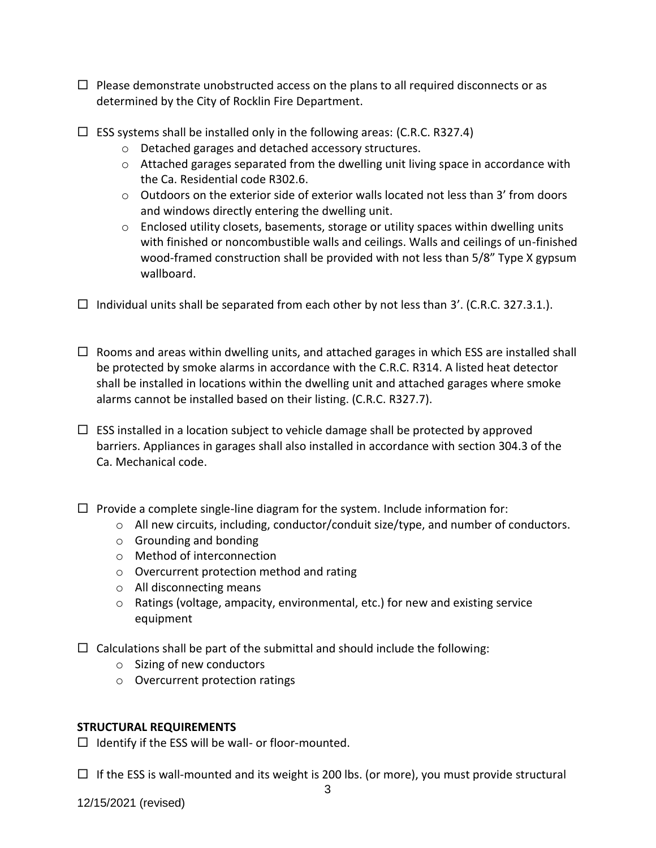- $\Box$  Please demonstrate unobstructed access on the plans to all required disconnects or as determined by the City of Rocklin Fire Department.
- $\Box$  ESS systems shall be installed only in the following areas: (C.R.C. R327.4)
	- o Detached garages and detached accessory structures.
	- $\circ$  Attached garages separated from the dwelling unit living space in accordance with the Ca. Residential code R302.6.
	- $\circ$  Outdoors on the exterior side of exterior walls located not less than 3' from doors and windows directly entering the dwelling unit.
	- $\circ$  Enclosed utility closets, basements, storage or utility spaces within dwelling units with finished or noncombustible walls and ceilings. Walls and ceilings of un-finished wood-framed construction shall be provided with not less than 5/8" Type X gypsum wallboard.
- $\Box$  Individual units shall be separated from each other by not less than 3'. (C.R.C. 327.3.1.).
- $\Box$  Rooms and areas within dwelling units, and attached garages in which ESS are installed shall be protected by smoke alarms in accordance with the C.R.C. R314. A listed heat detector shall be installed in locations within the dwelling unit and attached garages where smoke alarms cannot be installed based on their listing. (C.R.C. R327.7).
- $\Box$  ESS installed in a location subject to vehicle damage shall be protected by approved barriers. Appliances in garages shall also installed in accordance with section 304.3 of the Ca. Mechanical code.
- $\Box$  Provide a complete single-line diagram for the system. Include information for:
	- o All new circuits, including, conductor/conduit size/type, and number of conductors.
	- o Grounding and bonding
	- o Method of interconnection
	- o Overcurrent protection method and rating
	- o All disconnecting means
	- o Ratings (voltage, ampacity, environmental, etc.) for new and existing service equipment
- $\Box$  Calculations shall be part of the submittal and should include the following:
	- o Sizing of new conductors
	- o Overcurrent protection ratings

## **STRUCTURAL REQUIREMENTS**

 $\Box$  Identify if the ESS will be wall- or floor-mounted.

 $\Box$  If the ESS is wall-mounted and its weight is 200 lbs. (or more), you must provide structural

12/15/2021 (revised)